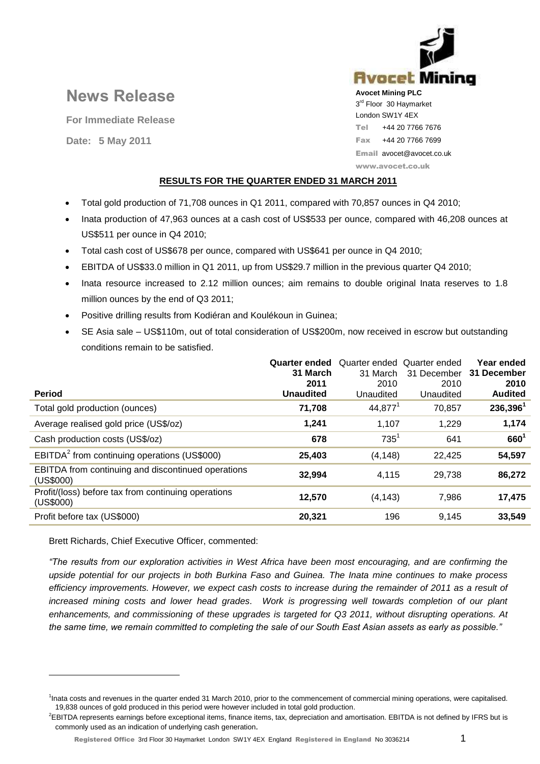# Avocet Minina **Avocet Mining PLC** 3<sup>rd</sup> Floor 30 Haymarket London SW1Y 4EX Tel +44 20 7766 7676 Fax +44 20 7766 7699 Email avocet@avocet.co.uk www.avocet.co.uk

# **RESULTS FOR THE QUARTER ENDED 31 MARCH 2011**

- Total gold production of 71,708 ounces in Q1 2011, compared with 70,857 ounces in Q4 2010;
- Inata production of 47,963 ounces at a cash cost of US\$533 per ounce, compared with 46,208 ounces at US\$511 per ounce in Q4 2010;
- Total cash cost of US\$678 per ounce, compared with US\$641 per ounce in Q4 2010;
- EBITDA of US\$33.0 million in Q1 2011, up from US\$29.7 million in the previous quarter Q4 2010;
- Inata resource increased to 2.12 million ounces; aim remains to double original Inata reserves to 1.8 million ounces by the end of Q3 2011;
- Positive drilling results from Kodiéran and Koulékoun in Guinea;
- SE Asia sale US\$110m, out of total consideration of US\$200m, now received in escrow but outstanding conditions remain to be satisfied.

| <b>Period</b>                                                    | <b>Quarter ended</b><br>31 March<br>2011<br><b>Unaudited</b> | Quarter ended Quarter ended<br>31 March<br>2010<br>Unaudited | 31 December<br>2010<br>Unaudited | Year ended<br>31 December<br>2010<br><b>Audited</b> |
|------------------------------------------------------------------|--------------------------------------------------------------|--------------------------------------------------------------|----------------------------------|-----------------------------------------------------|
|                                                                  |                                                              |                                                              |                                  |                                                     |
| Total gold production (ounces)                                   | 71,708                                                       | $44,877^1$                                                   | 70,857                           | $236,396^1$                                         |
| Average realised gold price (US\$/oz)                            | 1.241                                                        | 1,107                                                        | 1,229                            | 1,174                                               |
| Cash production costs (US\$/oz)                                  | 678                                                          | $735^1$                                                      | 641                              | $660^{1}$                                           |
| EBITDA <sup>2</sup> from continuing operations (US\$000)         | 25,403                                                       | (4, 148)                                                     | 22.425                           | 54,597                                              |
| EBITDA from continuing and discontinued operations<br>(US\$000)  | 32,994                                                       | 4.115                                                        | 29.738                           | 86,272                                              |
| Profit/(loss) before tax from continuing operations<br>(US\$000) | 12,570                                                       | (4, 143)                                                     | 7,986                            | 17,475                                              |
| Profit before tax (US\$000)                                      | 20,321                                                       | 196                                                          | 9.145                            | 33,549                                              |

Brett Richards, Chief Executive Officer, commented:

**News Release**

**For Immediate Release**

**Date: 5 May 2011** 

 $\overline{a}$ 

*"The results from our exploration activities in West Africa have been most encouraging, and are confirming the upside potential for our projects in both Burkina Faso and Guinea. The Inata mine continues to make process efficiency improvements. However, we expect cash costs to increase during the remainder of 2011 as a result of increased mining costs and lower head grades. Work is progressing well towards completion of our plant enhancements, and commissioning of these upgrades is targeted for Q3 2011, without disrupting operations. At the same time, we remain committed to completing the sale of our South East Asian assets as early as possible."*

<sup>1</sup> Inata costs and revenues in the quarter ended 31 March 2010, prior to the commencement of commercial mining operations, were capitalised. 19,838 ounces of gold produced in this period were however included in total gold production.

<sup>&</sup>lt;sup>2</sup>EBITDA represents earnings before exceptional items, finance items, tax, depreciation and amortisation. EBITDA is not defined by IFRS but is commonly used as an indication of underlying cash generation.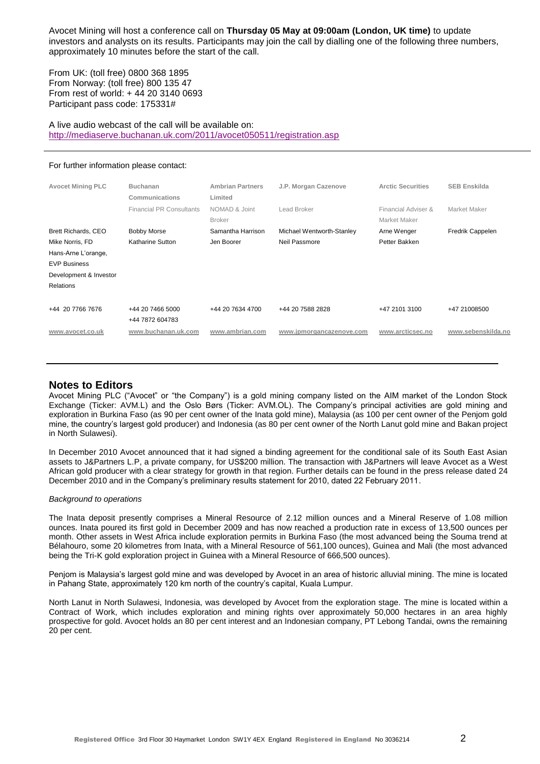Avocet Mining will host a conference call on **Thursday 05 May at 09:00am (London, UK time)** to update investors and analysts on its results. Participants may join the call by dialling one of the following three numbers, approximately 10 minutes before the start of the call.

From UK: (toll free) 0800 368 1895 From Norway: (toll free) 800 135 47 From rest of world: + 44 20 3140 0693 Participant pass code: 175331#

A live audio webcast of the call will be available on: <http://mediaserve.buchanan.uk.com/2011/avocet050511/registration.asp>

#### For further information please contact:

| <b>Avocet Mining PLC</b>                                                                                                           | <b>Buchanan</b><br>Communications             | <b>Ambrian Partners</b><br>Limited | J.P. Morgan Cazenove                       | <b>Arctic Securities</b>            | <b>SEB Enskilda</b> |
|------------------------------------------------------------------------------------------------------------------------------------|-----------------------------------------------|------------------------------------|--------------------------------------------|-------------------------------------|---------------------|
|                                                                                                                                    | <b>Financial PR Consultants</b>               | NOMAD & Joint<br><b>Broker</b>     | Lead Broker                                | Financial Adviser &<br>Market Maker | Market Maker        |
| Brett Richards, CEO<br>Mike Norris, FD<br>Hans-Arne L'orange,<br><b>EVP Business</b><br>Development & Investor<br><b>Relations</b> | <b>Bobby Morse</b><br><b>Katharine Sutton</b> | Samantha Harrison<br>Jen Boorer    | Michael Wentworth-Stanley<br>Neil Passmore | Arne Wenger<br>Petter Bakken        | Fredrik Cappelen    |
| +44 20 7766 7676                                                                                                                   | +44 20 7466 5000<br>+44 7872 604783           | +44 20 7634 4700                   | +44 20 7588 2828                           | +47 2101 3100                       | +47 21008500        |
| www.avocet.co.uk                                                                                                                   | www.buchanan.uk.com                           | www.ambrian.com                    | www.jpmorgancazenove.com                   | www.arcticsec.no                    | www.sebenskilda.no  |

# **Notes to Editors**

Avocet Mining PLC ("Avocet" or "the Company") is a gold mining company listed on the AIM market of the London Stock Exchange (Ticker: AVM.L) and the Oslo Børs (Ticker: AVM.OL). The Company's principal activities are gold mining and exploration in Burkina Faso (as 90 per cent owner of the Inata gold mine), Malaysia (as 100 per cent owner of the Penjom gold mine, the country's largest gold producer) and Indonesia (as 80 per cent owner of the North Lanut gold mine and Bakan project in North Sulawesi).

In December 2010 Avocet announced that it had signed a binding agreement for the conditional sale of its South East Asian assets to J&Partners L.P, a private company, for US\$200 million. The transaction with J&Partners will leave Avocet as a West African gold producer with a clear strategy for growth in that region. Further details can be found in the press release dated 24 December 2010 and in the Company's preliminary results statement for 2010, dated 22 February 2011.

### *Background to operations*

The Inata deposit presently comprises a Mineral Resource of 2.12 million ounces and a Mineral Reserve of 1.08 million ounces. Inata poured its first gold in December 2009 and has now reached a production rate in excess of 13,500 ounces per month. Other assets in West Africa include exploration permits in Burkina Faso (the most advanced being the Souma trend at Bélahouro, some 20 kilometres from Inata, with a Mineral Resource of 561,100 ounces), Guinea and Mali (the most advanced being the Tri-K gold exploration project in Guinea with a Mineral Resource of 666,500 ounces).

Penjom is Malaysia's largest gold mine and was developed by Avocet in an area of historic alluvial mining. The mine is located in Pahang State, approximately 120 km north of the country's capital, Kuala Lumpur.

North Lanut in North Sulawesi, Indonesia, was developed by Avocet from the exploration stage. The mine is located within a Contract of Work, which includes exploration and mining rights over approximately 50,000 hectares in an area highly prospective for gold. Avocet holds an 80 per cent interest and an Indonesian company, PT Lebong Tandai, owns the remaining 20 per cent.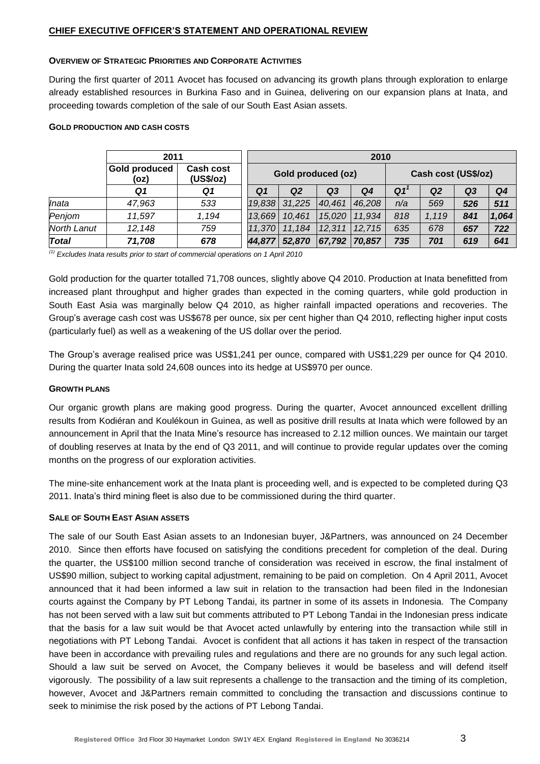# **OVERVIEW OF STRATEGIC PRIORITIES AND CORPORATE ACTIVITIES**

During the first quarter of 2011 Avocet has focused on advancing its growth plans through exploration to enlarge already established resources in Burkina Faso and in Guinea, delivering on our expansion plans at Inata, and proceeding towards completion of the sale of our South East Asian assets.

# **GOLD PRODUCTION AND CASH COSTS**

|                    | 2011                         |                               |        | 2010               |                |        |     |                     |                |       |  |
|--------------------|------------------------------|-------------------------------|--------|--------------------|----------------|--------|-----|---------------------|----------------|-------|--|
|                    | <b>Gold produced</b><br>(oz) | <b>Cash cost</b><br>(US\$/oz) |        | Gold produced (oz) |                |        |     | Cash cost (US\$/oz) |                |       |  |
|                    | Q1                           | Q1                            | Q1     | Q2                 | Q <sub>3</sub> | Q4     | Q1  | Q2                  | Q <sub>3</sub> | Q4    |  |
| Inata              | 47,963                       | 533                           | 19,838 | 31,225             | 40,461         | 46.208 | n/a | 569                 | 526            | 511   |  |
| Penjom             | 11,597                       | 1,194                         | 13,669 | 10,461             | 15,020         | 11.934 | 818 | 1,119               | 841            | 1,064 |  |
| <b>North Lanut</b> | 12,148                       | 759                           | 11,370 | 11,184             | 12,311         | 12.715 | 635 | 678                 | 657            | 722   |  |
| Total              | 71,708                       | 678                           | 44,877 | 52,870             | 67,792         | 70,857 | 735 | 701                 | 619            | 641   |  |

*(1) Excludes Inata results prior to start of commercial operations on 1 April 2010*

Gold production for the quarter totalled 71,708 ounces, slightly above Q4 2010. Production at Inata benefitted from increased plant throughput and higher grades than expected in the coming quarters, while gold production in South East Asia was marginally below Q4 2010, as higher rainfall impacted operations and recoveries. The Group's average cash cost was US\$678 per ounce, six per cent higher than Q4 2010, reflecting higher input costs (particularly fuel) as well as a weakening of the US dollar over the period.

The Group's average realised price was US\$1,241 per ounce, compared with US\$1,229 per ounce for Q4 2010. During the quarter Inata sold 24,608 ounces into its hedge at US\$970 per ounce.

### **GROWTH PLANS**

Our organic growth plans are making good progress. During the quarter, Avocet announced excellent drilling results from Kodiéran and Koulékoun in Guinea, as well as positive drill results at Inata which were followed by an announcement in April that the Inata Mine's resource has increased to 2.12 million ounces. We maintain our target of doubling reserves at Inata by the end of Q3 2011, and will continue to provide regular updates over the coming months on the progress of our exploration activities.

The mine-site enhancement work at the Inata plant is proceeding well, and is expected to be completed during Q3 2011. Inata's third mining fleet is also due to be commissioned during the third quarter.

# **SALE OF SOUTH EAST ASIAN ASSETS**

The sale of our South East Asian assets to an Indonesian buyer, J&Partners, was announced on 24 December 2010. Since then efforts have focused on satisfying the conditions precedent for completion of the deal. During the quarter, the US\$100 million second tranche of consideration was received in escrow, the final instalment of US\$90 million, subject to working capital adjustment, remaining to be paid on completion. On 4 April 2011, Avocet announced that it had been informed a law suit in relation to the transaction had been filed in the Indonesian courts against the Company by PT Lebong Tandai, its partner in some of its assets in Indonesia. The Company has not been served with a law suit but comments attributed to PT Lebong Tandai in the Indonesian press indicate that the basis for a law suit would be that Avocet acted unlawfully by entering into the transaction while still in negotiations with PT Lebong Tandai. Avocet is confident that all actions it has taken in respect of the transaction have been in accordance with prevailing rules and regulations and there are no grounds for any such legal action. Should a law suit be served on Avocet, the Company believes it would be baseless and will defend itself vigorously. The possibility of a law suit represents a challenge to the transaction and the timing of its completion, however, Avocet and J&Partners remain committed to concluding the transaction and discussions continue to seek to minimise the risk posed by the actions of PT Lebong Tandai.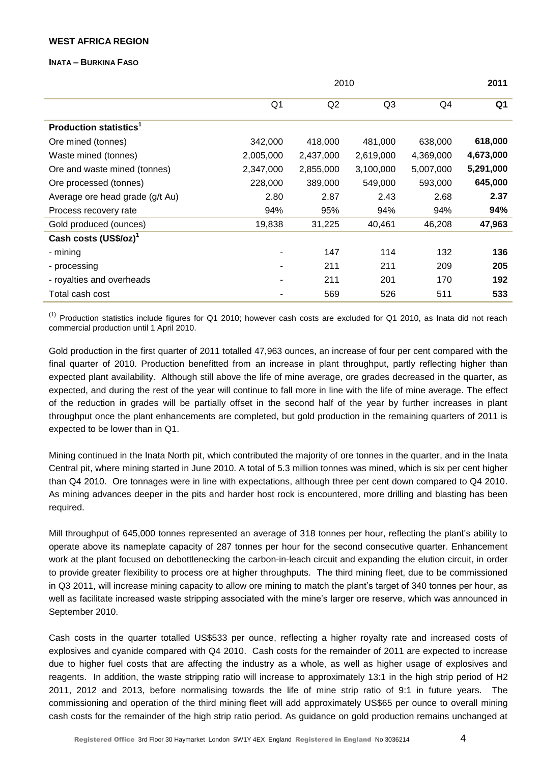# **WEST AFRICA REGION**

### **INATA – BURKINA FASO**

|                                           |                | 2010      |                |           |                |  |  |  |
|-------------------------------------------|----------------|-----------|----------------|-----------|----------------|--|--|--|
|                                           | Q <sub>1</sub> | Q2        | Q <sub>3</sub> | Q4        | Q <sub>1</sub> |  |  |  |
| <b>Production statistics</b> <sup>1</sup> |                |           |                |           |                |  |  |  |
| Ore mined (tonnes)                        | 342,000        | 418,000   | 481,000        | 638,000   | 618,000        |  |  |  |
| Waste mined (tonnes)                      | 2,005,000      | 2,437,000 | 2,619,000      | 4,369,000 | 4,673,000      |  |  |  |
| Ore and waste mined (tonnes)              | 2,347,000      | 2,855,000 | 3,100,000      | 5,007,000 | 5,291,000      |  |  |  |
| Ore processed (tonnes)                    | 228,000        | 389,000   | 549,000        | 593,000   | 645,000        |  |  |  |
| Average ore head grade (g/t Au)           | 2.80           | 2.87      | 2.43           | 2.68      | 2.37           |  |  |  |
| Process recovery rate                     | 94%            | 95%       | 94%            | 94%       | 94%            |  |  |  |
| Gold produced (ounces)                    | 19,838         | 31,225    | 40,461         | 46,208    | 47,963         |  |  |  |
| Cash costs (US\$/oz) <sup>1</sup>         |                |           |                |           |                |  |  |  |
| - mining                                  |                | 147       | 114            | 132       | 136            |  |  |  |
| - processing                              |                | 211       | 211            | 209       | 205            |  |  |  |
| - royalties and overheads                 |                | 211       | 201            | 170       | 192            |  |  |  |
| Total cash cost                           |                | 569       | 526            | 511       | 533            |  |  |  |

 $^{(1)}$  Production statistics include figures for Q1 2010; however cash costs are excluded for Q1 2010, as Inata did not reach commercial production until 1 April 2010.

Gold production in the first quarter of 2011 totalled 47,963 ounces, an increase of four per cent compared with the final quarter of 2010. Production benefitted from an increase in plant throughput, partly reflecting higher than expected plant availability. Although still above the life of mine average, ore grades decreased in the quarter, as expected, and during the rest of the year will continue to fall more in line with the life of mine average. The effect of the reduction in grades will be partially offset in the second half of the year by further increases in plant throughput once the plant enhancements are completed, but gold production in the remaining quarters of 2011 is expected to be lower than in Q1.

Mining continued in the Inata North pit, which contributed the majority of ore tonnes in the quarter, and in the Inata Central pit, where mining started in June 2010. A total of 5.3 million tonnes was mined, which is six per cent higher than Q4 2010. Ore tonnages were in line with expectations, although three per cent down compared to Q4 2010. As mining advances deeper in the pits and harder host rock is encountered, more drilling and blasting has been required.

Mill throughput of 645,000 tonnes represented an average of 318 tonnes per hour, reflecting the plant's ability to operate above its nameplate capacity of 287 tonnes per hour for the second consecutive quarter. Enhancement work at the plant focused on debottlenecking the carbon-in-leach circuit and expanding the elution circuit, in order to provide greater flexibility to process ore at higher throughputs. The third mining fleet, due to be commissioned in Q3 2011, will increase mining capacity to allow ore mining to match the plant's target of 340 tonnes per hour, as well as facilitate increased waste stripping associated with the mine's larger ore reserve, which was announced in September 2010.

Cash costs in the quarter totalled US\$533 per ounce, reflecting a higher royalty rate and increased costs of explosives and cyanide compared with Q4 2010. Cash costs for the remainder of 2011 are expected to increase due to higher fuel costs that are affecting the industry as a whole, as well as higher usage of explosives and reagents. In addition, the waste stripping ratio will increase to approximately 13:1 in the high strip period of H2 2011, 2012 and 2013, before normalising towards the life of mine strip ratio of 9:1 in future years. The commissioning and operation of the third mining fleet will add approximately US\$65 per ounce to overall mining cash costs for the remainder of the high strip ratio period. As guidance on gold production remains unchanged at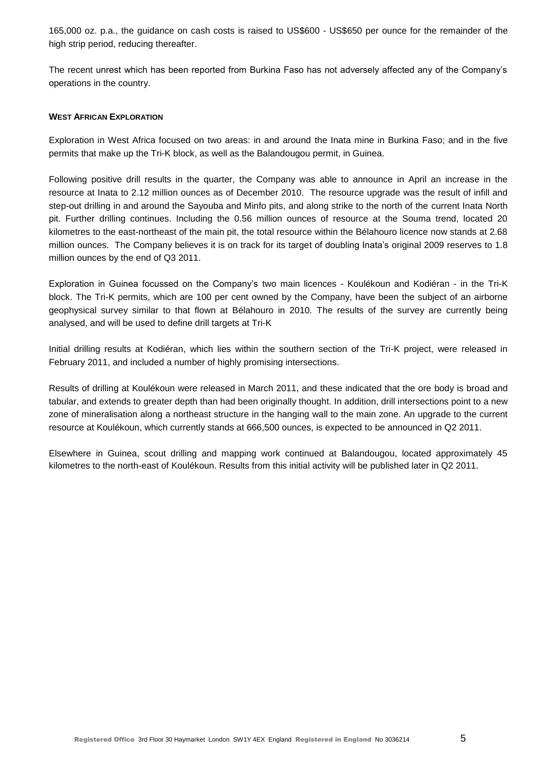165,000 oz. p.a., the guidance on cash costs is raised to US\$600 - US\$650 per ounce for the remainder of the high strip period, reducing thereafter.

The recent unrest which has been reported from Burkina Faso has not adversely affected any of the Company's operations in the country.

# **WEST AFRICAN EXPLORATION**

Exploration in West Africa focused on two areas: in and around the Inata mine in Burkina Faso; and in the five permits that make up the Tri-K block, as well as the Balandougou permit, in Guinea.

Following positive drill results in the quarter, the Company was able to announce in April an increase in the resource at Inata to 2.12 million ounces as of December 2010. The resource upgrade was the result of infill and step-out drilling in and around the Sayouba and Minfo pits, and along strike to the north of the current Inata North pit. Further drilling continues. Including the 0.56 million ounces of resource at the Souma trend, located 20 kilometres to the east-northeast of the main pit, the total resource within the Bélahouro licence now stands at 2.68 million ounces. The Company believes it is on track for its target of doubling Inata's original 2009 reserves to 1.8 million ounces by the end of Q3 2011.

Exploration in Guinea focussed on the Company's two main licences - Koulékoun and Kodiéran - in the Tri-K block. The Tri-K permits, which are 100 per cent owned by the Company, have been the subject of an airborne geophysical survey similar to that flown at Bélahouro in 2010. The results of the survey are currently being analysed, and will be used to define drill targets at Tri-K

Initial drilling results at Kodiéran, which lies within the southern section of the Tri-K project, were released in February 2011, and included a number of highly promising intersections.

Results of drilling at Koulékoun were released in March 2011, and these indicated that the ore body is broad and tabular, and extends to greater depth than had been originally thought. In addition, drill intersections point to a new zone of mineralisation along a northeast structure in the hanging wall to the main zone. An upgrade to the current resource at Koulékoun, which currently stands at 666,500 ounces, is expected to be announced in Q2 2011.

Elsewhere in Guinea, scout drilling and mapping work continued at Balandougou, located approximately 45 kilometres to the north-east of Koulékoun. Results from this initial activity will be published later in Q2 2011.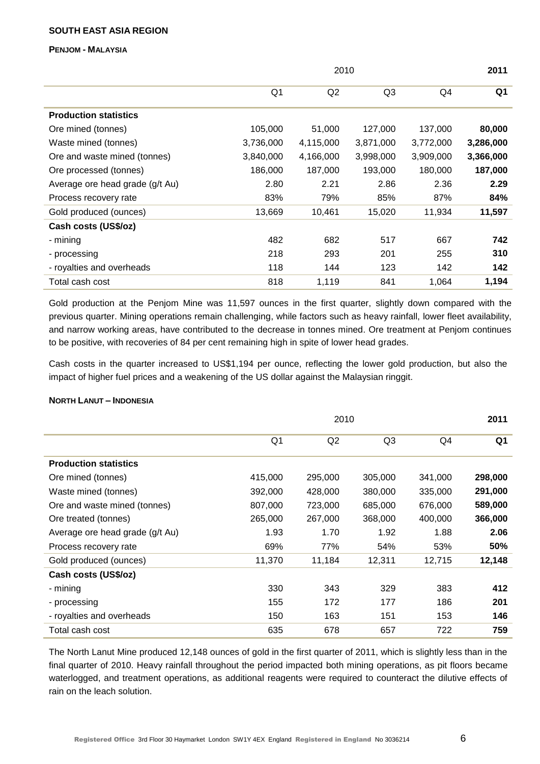# **SOUTH EAST ASIA REGION**

**PENJOM - MALAYSIA**

|                                 |                | 2010      | 2011           |           |           |
|---------------------------------|----------------|-----------|----------------|-----------|-----------|
|                                 | Q <sub>1</sub> | Q2        | Q <sub>3</sub> | Q4        | Q1        |
| <b>Production statistics</b>    |                |           |                |           |           |
| Ore mined (tonnes)              | 105,000        | 51,000    | 127,000        | 137,000   | 80,000    |
| Waste mined (tonnes)            | 3,736,000      | 4,115,000 | 3,871,000      | 3,772,000 | 3,286,000 |
| Ore and waste mined (tonnes)    | 3,840,000      | 4,166,000 | 3,998,000      | 3,909,000 | 3,366,000 |
| Ore processed (tonnes)          | 186,000        | 187,000   | 193,000        | 180,000   | 187,000   |
| Average ore head grade (g/t Au) | 2.80           | 2.21      | 2.86           | 2.36      | 2.29      |
| Process recovery rate           | 83%            | 79%       | 85%            | 87%       | 84%       |
| Gold produced (ounces)          | 13,669         | 10,461    | 15,020         | 11,934    | 11,597    |
| Cash costs (US\$/oz)            |                |           |                |           |           |
| - mining                        | 482            | 682       | 517            | 667       | 742       |
| - processing                    | 218            | 293       | 201            | 255       | 310       |
| - royalties and overheads       | 118            | 144       | 123            | 142       | 142       |
| Total cash cost                 | 818            | 1,119     | 841            | 1,064     | 1,194     |

Gold production at the Penjom Mine was 11,597 ounces in the first quarter, slightly down compared with the previous quarter. Mining operations remain challenging, while factors such as heavy rainfall, lower fleet availability, and narrow working areas, have contributed to the decrease in tonnes mined. Ore treatment at Penjom continues to be positive, with recoveries of 84 per cent remaining high in spite of lower head grades.

Cash costs in the quarter increased to US\$1,194 per ounce, reflecting the lower gold production, but also the impact of higher fuel prices and a weakening of the US dollar against the Malaysian ringgit.

### **NORTH LANUT – INDONESIA**

|                                 | 2010    |         |                |         |                |  |  |
|---------------------------------|---------|---------|----------------|---------|----------------|--|--|
|                                 | Q1      | Q2      | Q <sub>3</sub> | Q4      | Q <sub>1</sub> |  |  |
| <b>Production statistics</b>    |         |         |                |         |                |  |  |
| Ore mined (tonnes)              | 415,000 | 295,000 | 305,000        | 341,000 | 298,000        |  |  |
| Waste mined (tonnes)            | 392,000 | 428,000 | 380,000        | 335,000 | 291,000        |  |  |
| Ore and waste mined (tonnes)    | 807,000 | 723,000 | 685,000        | 676,000 | 589,000        |  |  |
| Ore treated (tonnes)            | 265,000 | 267,000 | 368,000        | 400,000 | 366,000        |  |  |
| Average ore head grade (g/t Au) | 1.93    | 1.70    | 1.92           | 1.88    | 2.06           |  |  |
| Process recovery rate           | 69%     | 77%     | 54%            | 53%     | 50%            |  |  |
| Gold produced (ounces)          | 11,370  | 11,184  | 12,311         | 12,715  | 12,148         |  |  |
| Cash costs (US\$/oz)            |         |         |                |         |                |  |  |
| - mining                        | 330     | 343     | 329            | 383     | 412            |  |  |
| - processing                    | 155     | 172     | 177            | 186     | 201            |  |  |
| - royalties and overheads       | 150     | 163     | 151            | 153     | 146            |  |  |
| Total cash cost                 | 635     | 678     | 657            | 722     | 759            |  |  |

The North Lanut Mine produced 12,148 ounces of gold in the first quarter of 2011, which is slightly less than in the final quarter of 2010. Heavy rainfall throughout the period impacted both mining operations, as pit floors became waterlogged, and treatment operations, as additional reagents were required to counteract the dilutive effects of rain on the leach solution.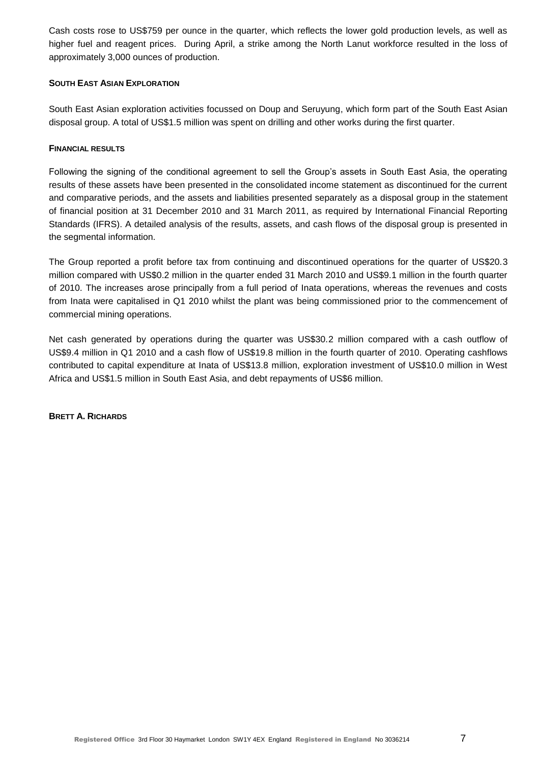Cash costs rose to US\$759 per ounce in the quarter, which reflects the lower gold production levels, as well as higher fuel and reagent prices. During April, a strike among the North Lanut workforce resulted in the loss of approximately 3,000 ounces of production.

# **SOUTH EAST ASIAN EXPLORATION**

South East Asian exploration activities focussed on Doup and Seruyung, which form part of the South East Asian disposal group. A total of US\$1.5 million was spent on drilling and other works during the first quarter.

# **FINANCIAL RESULTS**

Following the signing of the conditional agreement to sell the Group's assets in South East Asia, the operating results of these assets have been presented in the consolidated income statement as discontinued for the current and comparative periods, and the assets and liabilities presented separately as a disposal group in the statement of financial position at 31 December 2010 and 31 March 2011, as required by International Financial Reporting Standards (IFRS). A detailed analysis of the results, assets, and cash flows of the disposal group is presented in the segmental information.

The Group reported a profit before tax from continuing and discontinued operations for the quarter of US\$20.3 million compared with US\$0.2 million in the quarter ended 31 March 2010 and US\$9.1 million in the fourth quarter of 2010. The increases arose principally from a full period of Inata operations, whereas the revenues and costs from Inata were capitalised in Q1 2010 whilst the plant was being commissioned prior to the commencement of commercial mining operations.

Net cash generated by operations during the quarter was US\$30.2 million compared with a cash outflow of US\$9.4 million in Q1 2010 and a cash flow of US\$19.8 million in the fourth quarter of 2010. Operating cashflows contributed to capital expenditure at Inata of US\$13.8 million, exploration investment of US\$10.0 million in West Africa and US\$1.5 million in South East Asia, and debt repayments of US\$6 million.

**BRETT A. RICHARDS**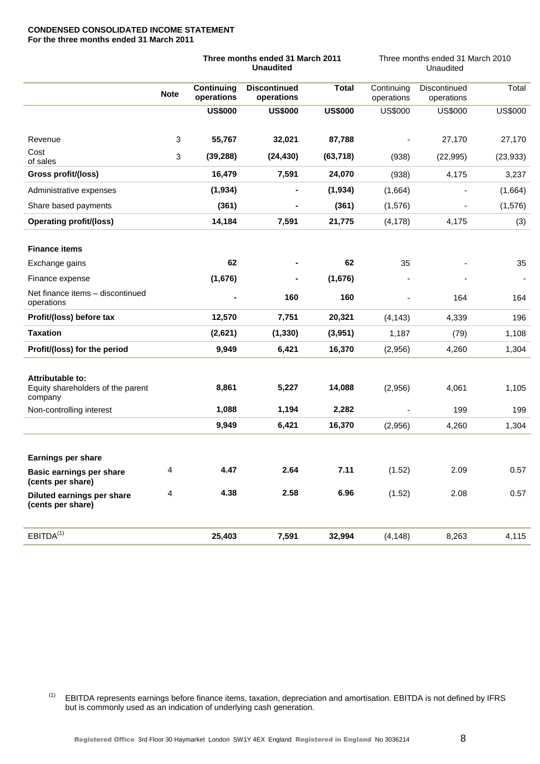#### **CONDENSED CONSOLIDATED INCOME STATEMENT For the three months ended 31 March 2011**

|                                                                  |             |                          | Three months ended 31 March 2011<br><b>Unaudited</b> |                | Three months ended 31 March 2010<br>Unaudited |                            |                |  |
|------------------------------------------------------------------|-------------|--------------------------|------------------------------------------------------|----------------|-----------------------------------------------|----------------------------|----------------|--|
|                                                                  | <b>Note</b> | Continuing<br>operations | <b>Discontinued</b><br>operations                    | <b>Total</b>   | Continuing<br>operations                      | Discontinued<br>operations | Total          |  |
|                                                                  |             | <b>US\$000</b>           | <b>US\$000</b>                                       | <b>US\$000</b> | <b>US\$000</b>                                | <b>US\$000</b>             | <b>US\$000</b> |  |
| Revenue                                                          | 3           | 55,767                   | 32,021                                               | 87,788         |                                               | 27,170                     | 27,170         |  |
| Cost<br>of sales                                                 | 3           | (39, 288)                | (24, 430)                                            | (63, 718)      | (938)                                         | (22, 995)                  | (23, 933)      |  |
| Gross profit/(loss)                                              |             | 16,479                   | 7,591                                                | 24,070         | (938)                                         | 4,175                      | 3,237          |  |
| Administrative expenses                                          |             | (1, 934)                 |                                                      | (1, 934)       | (1,664)                                       |                            | (1,664)        |  |
| Share based payments                                             |             | (361)                    |                                                      | (361)          | (1, 576)                                      |                            | (1, 576)       |  |
| <b>Operating profit/(loss)</b>                                   |             | 14,184                   | 7,591                                                | 21,775         | (4, 178)                                      | 4,175                      | (3)            |  |
| <b>Finance items</b>                                             |             |                          |                                                      |                |                                               |                            |                |  |
| Exchange gains                                                   |             | 62                       |                                                      | 62             | 35                                            |                            | 35             |  |
| Finance expense                                                  |             | (1,676)                  |                                                      | (1,676)        |                                               |                            |                |  |
| Net finance items - discontinued<br>operations                   |             |                          | 160                                                  | 160            |                                               | 164                        | 164            |  |
| Profit/(loss) before tax                                         |             | 12,570                   | 7,751                                                | 20,321         | (4, 143)                                      | 4,339                      | 196            |  |
| <b>Taxation</b>                                                  |             | (2,621)                  | (1, 330)                                             | (3,951)        | 1,187                                         | (79)                       | 1,108          |  |
| Profit/(loss) for the period                                     |             | 9,949                    | 6,421                                                | 16,370         | (2,956)                                       | 4,260                      | 1,304          |  |
| Attributable to:<br>Equity shareholders of the parent<br>company |             | 8,861                    | 5,227                                                | 14,088         | (2,956)                                       | 4,061                      | 1,105          |  |
| Non-controlling interest                                         |             | 1,088                    | 1,194                                                | 2,282          |                                               | 199                        | 199            |  |
|                                                                  |             | 9,949                    | 6,421                                                | 16,370         | (2,956)                                       | 4,260                      | 1,304          |  |
|                                                                  |             |                          |                                                      |                |                                               |                            |                |  |
| <b>Earnings per share</b>                                        |             |                          |                                                      |                |                                               |                            |                |  |
| Basic earnings per share<br>(cents per share)                    | 4           | 4.47                     | 2.64                                                 | 7.11           | (1.52)                                        | 2.09                       | 0.57           |  |
| Diluted earnings per share<br>(cents per share)                  | 4           | 4.38                     | 2.58                                                 | 6.96           | (1.52)                                        | 2.08                       | 0.57           |  |
| EBITDA <sup>(1)</sup>                                            |             | 25,403                   | 7,591                                                | 32,994         | (4, 148)                                      | 8,263                      | 4,115          |  |

(1) EBITDA represents earnings before finance items, taxation, depreciation and amortisation. EBITDA is not defined by IFRS but is commonly used as an indication of underlying cash generation.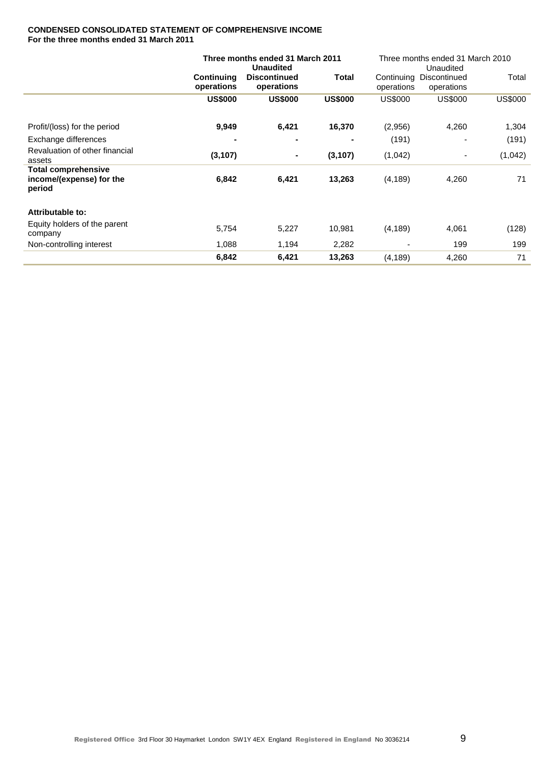### **CONDENSED CONSOLIDATED STATEMENT OF COMPREHENSIVE INCOME For the three months ended 31 March 2011**

|                                                                  |                          | Three months ended 31 March 2011<br><b>Unaudited</b> |                | Three months ended 31 March 2010<br>Unaudited |                            |                |  |
|------------------------------------------------------------------|--------------------------|------------------------------------------------------|----------------|-----------------------------------------------|----------------------------|----------------|--|
|                                                                  | Continuing<br>operations | <b>Discontinued</b><br>operations                    | Total          | Continuing<br>operations                      | Discontinued<br>operations | Total          |  |
|                                                                  | <b>US\$000</b>           | <b>US\$000</b>                                       | <b>US\$000</b> | <b>US\$000</b>                                | <b>US\$000</b>             | <b>US\$000</b> |  |
| Profit/(loss) for the period                                     | 9,949                    | 6,421                                                | 16,370         | (2,956)                                       | 4,260                      | 1,304          |  |
| Exchange differences                                             |                          |                                                      |                | (191)                                         |                            | (191)          |  |
| Revaluation of other financial<br>assets                         | (3, 107)                 |                                                      | (3, 107)       | (1,042)                                       |                            | (1,042)        |  |
| <b>Total comprehensive</b><br>income/(expense) for the<br>period | 6,842                    | 6,421                                                | 13,263         | (4, 189)                                      | 4,260                      | 71             |  |
| Attributable to:                                                 |                          |                                                      |                |                                               |                            |                |  |
| Equity holders of the parent<br>company                          | 5,754                    | 5,227                                                | 10,981         | (4, 189)                                      | 4,061                      | (128)          |  |
| Non-controlling interest                                         | 1,088                    | 1,194                                                | 2,282          |                                               | 199                        | 199            |  |
|                                                                  | 6,842                    | 6,421                                                | 13,263         | (4, 189)                                      | 4,260                      | 71             |  |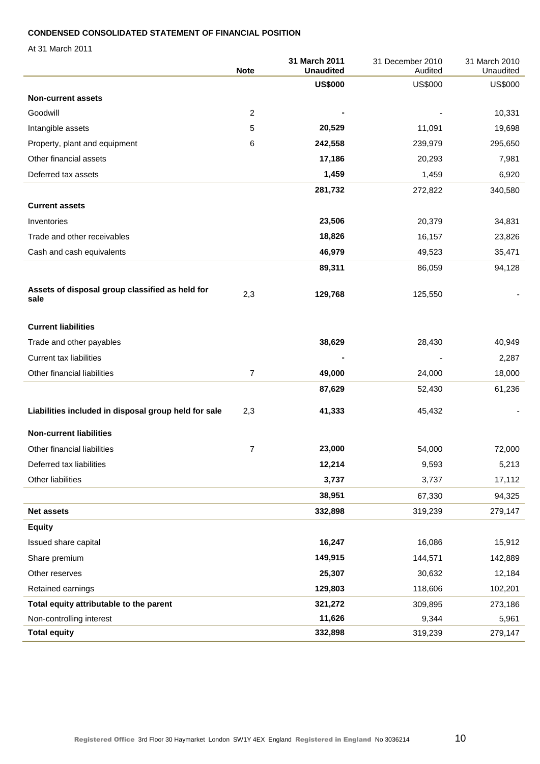# **CONDENSED CONSOLIDATED STATEMENT OF FINANCIAL POSITION**

At 31 March 2011

|                                                         | <b>Note</b>    | 31 March 2011<br><b>Unaudited</b> | 31 December 2010<br>Audited | 31 March 2010<br>Unaudited |
|---------------------------------------------------------|----------------|-----------------------------------|-----------------------------|----------------------------|
|                                                         |                | <b>US\$000</b>                    | <b>US\$000</b>              | <b>US\$000</b>             |
| <b>Non-current assets</b>                               |                |                                   |                             |                            |
| Goodwill                                                | 2              |                                   |                             | 10,331                     |
| Intangible assets                                       | 5              | 20,529                            | 11,091                      | 19,698                     |
| Property, plant and equipment                           | 6              | 242,558                           | 239,979                     | 295,650                    |
| Other financial assets                                  |                | 17,186                            | 20,293                      | 7,981                      |
| Deferred tax assets                                     |                | 1,459                             | 1,459                       | 6,920                      |
|                                                         |                | 281,732                           | 272,822                     | 340,580                    |
| <b>Current assets</b>                                   |                |                                   |                             |                            |
| Inventories                                             |                | 23,506                            | 20,379                      | 34,831                     |
| Trade and other receivables                             |                | 18,826                            | 16,157                      | 23,826                     |
| Cash and cash equivalents                               |                | 46,979                            | 49,523                      | 35,471                     |
|                                                         |                | 89,311                            | 86,059                      | 94,128                     |
| Assets of disposal group classified as held for<br>sale | 2,3            | 129,768                           | 125,550                     |                            |
| <b>Current liabilities</b>                              |                |                                   |                             |                            |
| Trade and other payables                                |                | 38,629                            | 28,430                      | 40,949                     |
| <b>Current tax liabilities</b>                          |                |                                   |                             | 2,287                      |
| Other financial liabilities                             | $\overline{7}$ | 49,000                            | 24,000                      | 18,000                     |
|                                                         |                | 87,629                            | 52,430                      | 61,236                     |
| Liabilities included in disposal group held for sale    | 2,3            | 41,333                            | 45,432                      |                            |
| <b>Non-current liabilities</b>                          |                |                                   |                             |                            |
| Other financial liabilities                             | 7              | 23,000                            | 54,000                      | 72,000                     |
| Deferred tax liabilities                                |                | 12,214                            | 9,593                       | 5,213                      |
| Other liabilities                                       |                | 3,737                             | 3,737                       | 17,112                     |
|                                                         |                | 38,951                            | 67,330                      | 94,325                     |
| <b>Net assets</b>                                       |                | 332,898                           | 319,239                     | 279,147                    |
| <b>Equity</b>                                           |                |                                   |                             |                            |
| Issued share capital                                    |                | 16,247                            | 16,086                      | 15,912                     |
| Share premium                                           |                | 149,915                           | 144,571                     | 142,889                    |
| Other reserves                                          |                | 25,307                            | 30,632                      | 12,184                     |
| Retained earnings                                       |                | 129,803                           | 118,606                     | 102,201                    |
| Total equity attributable to the parent                 |                | 321,272                           | 309,895                     | 273,186                    |
| Non-controlling interest                                |                | 11,626                            | 9,344                       | 5,961                      |
| <b>Total equity</b>                                     |                | 332,898                           | 319,239                     | 279,147                    |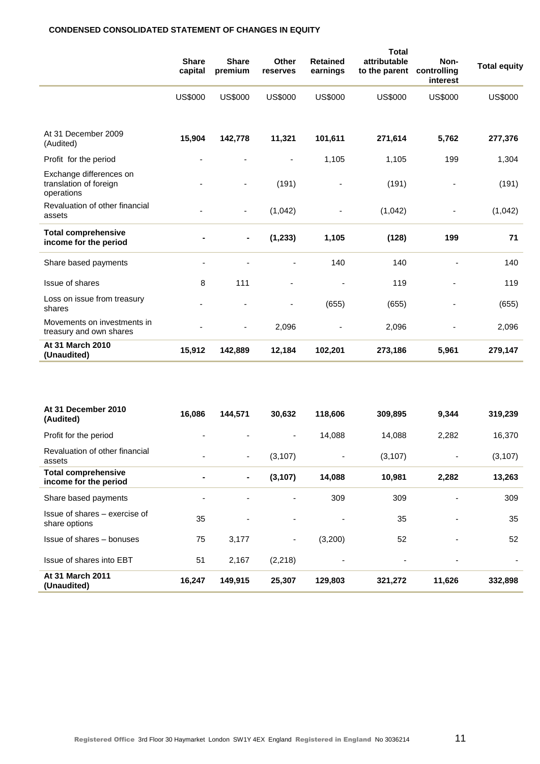# **CONDENSED CONSOLIDATED STATEMENT OF CHANGES IN EQUITY**

|                                                                 | <b>Share</b><br>capital | <b>Share</b><br>premium  | Other<br>reserves        | <b>Retained</b><br>earnings | <b>Total</b><br>attributable<br>to the parent | Non-<br>controlling<br>interest | <b>Total equity</b> |
|-----------------------------------------------------------------|-------------------------|--------------------------|--------------------------|-----------------------------|-----------------------------------------------|---------------------------------|---------------------|
|                                                                 | <b>US\$000</b>          | <b>US\$000</b>           | <b>US\$000</b>           | <b>US\$000</b>              | <b>US\$000</b>                                | <b>US\$000</b>                  | <b>US\$000</b>      |
| At 31 December 2009<br>(Audited)                                | 15,904                  | 142,778                  | 11,321                   | 101,611                     | 271,614                                       | 5,762                           | 277,376             |
| Profit for the period                                           | ٠                       |                          | $\overline{\phantom{a}}$ | 1,105                       | 1,105                                         | 199                             | 1,304               |
| Exchange differences on<br>translation of foreign<br>operations |                         |                          | (191)                    |                             | (191)                                         |                                 | (191)               |
| Revaluation of other financial<br>assets                        |                         | $\overline{\phantom{0}}$ | (1,042)                  |                             | (1,042)                                       |                                 | (1,042)             |
| <b>Total comprehensive</b><br>income for the period             |                         | $\blacksquare$           | (1, 233)                 | 1,105                       | (128)                                         | 199                             | 71                  |
| Share based payments                                            |                         |                          |                          | 140                         | 140                                           |                                 | 140                 |
| Issue of shares                                                 | 8                       | 111                      |                          |                             | 119                                           |                                 | 119                 |
| Loss on issue from treasury<br>shares                           |                         |                          |                          | (655)                       | (655)                                         |                                 | (655)               |
| Movements on investments in<br>treasury and own shares          |                         |                          | 2,096                    |                             | 2,096                                         |                                 | 2,096               |
| At 31 March 2010<br>(Unaudited)                                 | 15,912                  | 142,889                  | 12,184                   | 102,201                     | 273,186                                       | 5,961                           | 279,147             |

| At 31 December 2010<br>(Audited)                    | 16,086         | 144,571                  | 30,632                   | 118,606                  | 309,895  | 9,344                    | 319,239  |
|-----------------------------------------------------|----------------|--------------------------|--------------------------|--------------------------|----------|--------------------------|----------|
| Profit for the period                               | $\blacksquare$ | $\overline{\phantom{a}}$ | $\blacksquare$           | 14,088                   | 14,088   | 2,282                    | 16,370   |
| Revaluation of other financial<br>assets            | $\blacksquare$ | ٠                        | (3, 107)                 |                          | (3, 107) | $\overline{\phantom{a}}$ | (3, 107) |
| <b>Total comprehensive</b><br>income for the period | $\blacksquare$ | $\blacksquare$           | (3, 107)                 | 14,088                   | 10,981   | 2,282                    | 13,263   |
| Share based payments                                | $\blacksquare$ |                          |                          | 309                      | 309      |                          | 309      |
| Issue of shares – exercise of<br>share options      | 35             | $\overline{\phantom{a}}$ | $\overline{\phantom{0}}$ |                          | 35       | $\blacksquare$           | 35       |
| Issue of shares - bonuses                           | 75             | 3,177                    | $\blacksquare$           | (3,200)                  | 52       | $\blacksquare$           | 52       |
| Issue of shares into EBT                            | 51             | 2,167                    | (2,218)                  | $\overline{\phantom{0}}$ | ٠        | $\overline{\phantom{a}}$ | ٠        |
| At 31 March 2011<br>(Unaudited)                     | 16,247         | 149,915                  | 25,307                   | 129,803                  | 321,272  | 11,626                   | 332,898  |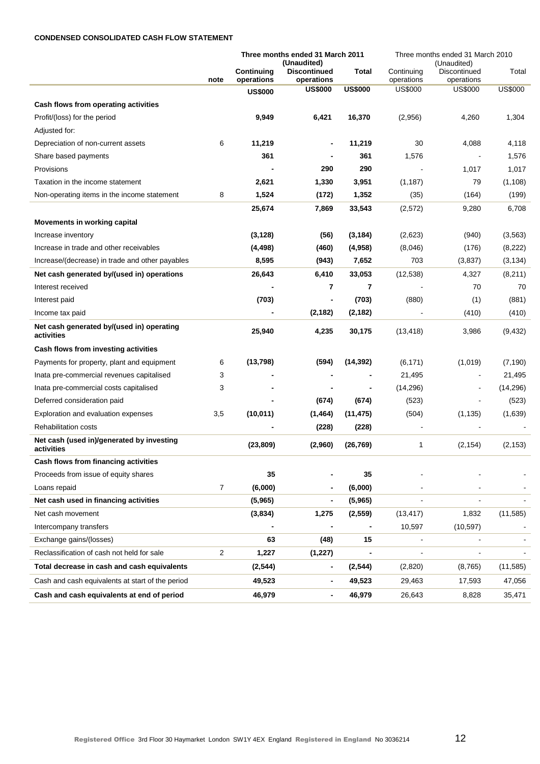### **CONDENSED CONSOLIDATED CASH FLOW STATEMENT**

|                                                         |      |                          | Three months ended 31 March 2011<br>(Unaudited) |                | Three months ended 31 March 2010 |                                           |                |
|---------------------------------------------------------|------|--------------------------|-------------------------------------------------|----------------|----------------------------------|-------------------------------------------|----------------|
|                                                         | note | Continuing<br>operations | <b>Discontinued</b><br>operations               | Total          | Continuing<br>operations         | (Unaudited)<br>Discontinued<br>operations | Total          |
|                                                         |      | <b>US\$000</b>           | <b>US\$000</b>                                  | <b>US\$000</b> | <b>US\$000</b>                   | <b>US\$000</b>                            | <b>US\$000</b> |
| Cash flows from operating activities                    |      |                          |                                                 |                |                                  |                                           |                |
| Profit/(loss) for the period                            |      | 9,949                    | 6,421                                           | 16,370         | (2,956)                          | 4,260                                     | 1,304          |
| Adjusted for:                                           |      |                          |                                                 |                |                                  |                                           |                |
| Depreciation of non-current assets                      | 6    | 11,219                   |                                                 | 11,219         | 30                               | 4,088                                     | 4,118          |
| Share based payments                                    |      | 361                      |                                                 | 361            | 1,576                            |                                           | 1,576          |
| Provisions                                              |      |                          | 290                                             | 290            |                                  | 1,017                                     | 1,017          |
| Taxation in the income statement                        |      | 2,621                    | 1,330                                           | 3,951          | (1, 187)                         | 79                                        | (1, 108)       |
| Non-operating items in the income statement             | 8    | 1,524                    | (172)                                           | 1,352          | (35)                             | (164)                                     | (199)          |
|                                                         |      | 25,674                   | 7,869                                           | 33,543         | (2,572)                          | 9,280                                     | 6,708          |
| <b>Movements in working capital</b>                     |      |                          |                                                 |                |                                  |                                           |                |
| Increase inventory                                      |      | (3, 128)                 | (56)                                            | (3, 184)       | (2,623)                          | (940)                                     | (3, 563)       |
| Increase in trade and other receivables                 |      | (4, 498)                 | (460)                                           | (4,958)        | (8,046)                          | (176)                                     | (8,222)        |
| Increase/(decrease) in trade and other payables         |      | 8,595                    | (943)                                           | 7,652          | 703                              | (3,837)                                   | (3, 134)       |
| Net cash generated by/(used in) operations              |      | 26,643                   | 6,410                                           | 33,053         | (12, 538)                        | 4,327                                     | (8,211)        |
| Interest received                                       |      |                          | 7                                               | 7              |                                  | 70                                        | 70             |
| Interest paid                                           |      | (703)                    |                                                 | (703)          | (880)                            | (1)                                       | (881)          |
| Income tax paid                                         |      |                          | (2, 182)                                        | (2, 182)       |                                  | (410)                                     | (410)          |
| Net cash generated by/(used in) operating<br>activities |      | 25,940                   | 4,235                                           | 30,175         | (13, 418)                        | 3,986                                     | (9, 432)       |
| Cash flows from investing activities                    |      |                          |                                                 |                |                                  |                                           |                |
| Payments for property, plant and equipment              | 6    | (13, 798)                | (594)                                           | (14, 392)      | (6, 171)                         | (1,019)                                   | (7, 190)       |
| Inata pre-commercial revenues capitalised               | 3    |                          |                                                 |                | 21,495                           |                                           | 21,495         |
| Inata pre-commercial costs capitalised                  | 3    |                          |                                                 | ٠              | (14, 296)                        | $\overline{a}$                            | (14, 296)      |
| Deferred consideration paid                             |      |                          | (674)                                           | (674)          | (523)                            |                                           | (523)          |
| Exploration and evaluation expenses                     | 3,5  | (10, 011)                | (1, 464)                                        | (11, 475)      | (504)                            | (1, 135)                                  | (1,639)        |
| <b>Rehabilitation costs</b>                             |      |                          | (228)                                           | (228)          |                                  |                                           |                |
| Net cash (used in)/generated by investing<br>activities |      | (23, 809)                | (2,960)                                         | (26, 769)      | 1                                | (2, 154)                                  | (2, 153)       |
| Cash flows from financing activities                    |      |                          |                                                 |                |                                  |                                           |                |
| Proceeds from issue of equity shares                    |      | 35                       |                                                 | 35             |                                  |                                           |                |
| Loans repaid                                            | 7    | (6,000)                  |                                                 | (6,000)        |                                  |                                           |                |
| Net cash used in financing activities                   |      | (5,965)                  | -                                               | (5,965)        |                                  |                                           |                |
| Net cash movement                                       |      | (3,834)                  | 1,275                                           | (2, 559)       | (13, 417)                        | 1,832                                     | (11, 585)      |
| Intercompany transfers                                  |      |                          |                                                 |                | 10,597                           | (10, 597)                                 |                |
| Exchange gains/(losses)                                 |      | 63                       | (48)                                            | 15             |                                  |                                           |                |
| Reclassification of cash not held for sale              | 2    | 1,227                    | (1, 227)                                        | -              |                                  | $\blacksquare$                            |                |
| Total decrease in cash and cash equivalents             |      | (2, 544)                 | $\blacksquare$                                  | (2, 544)       | (2,820)                          | (8, 765)                                  | (11, 585)      |
| Cash and cash equivalents at start of the period        |      | 49,523                   | $\qquad \qquad \blacksquare$                    | 49,523         | 29,463                           | 17,593                                    | 47,056         |
| Cash and cash equivalents at end of period              |      | 46,979                   |                                                 | 46,979         | 26,643                           | 8,828                                     | 35,471         |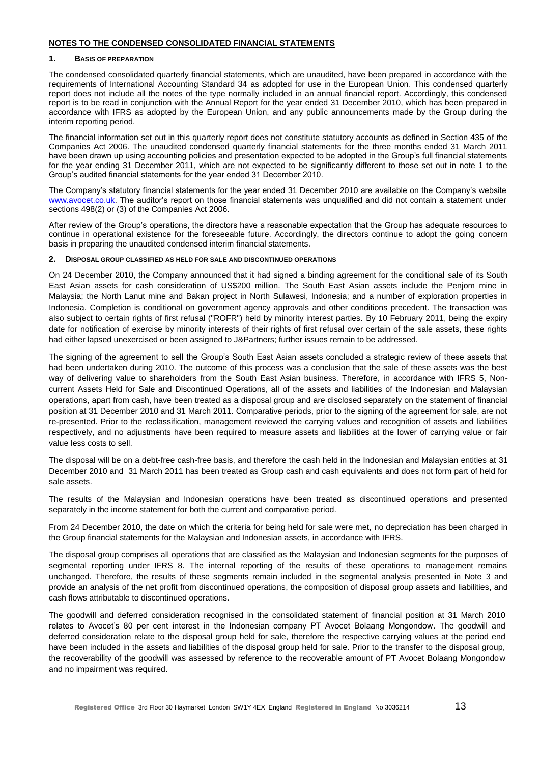### **NOTES TO THE CONDENSED CONSOLIDATED FINANCIAL STATEMENTS**

#### **1. BASIS OF PREPARATION**

The condensed consolidated quarterly financial statements, which are unaudited, have been prepared in accordance with the requirements of International Accounting Standard 34 as adopted for use in the European Union. This condensed quarterly report does not include all the notes of the type normally included in an annual financial report. Accordingly, this condensed report is to be read in conjunction with the Annual Report for the year ended 31 December 2010, which has been prepared in accordance with IFRS as adopted by the European Union, and any public announcements made by the Group during the interim reporting period.

The financial information set out in this quarterly report does not constitute statutory accounts as defined in Section 435 of the Companies Act 2006. The unaudited condensed quarterly financial statements for the three months ended 31 March 2011 have been drawn up using accounting policies and presentation expected to be adopted in the Group's full financial statements for the year ending 31 December 2011, which are not expected to be significantly different to those set out in note 1 to the Group's audited financial statements for the year ended 31 December 2010.

The Company's statutory financial statements for the year ended 31 December 2010 are available on the Company's website [www.avocet.co.uk.](http://www.avocet.co.uk/) The auditor's report on those financial statements was unqualified and did not contain a statement under sections 498(2) or (3) of the Companies Act 2006.

After review of the Group's operations, the directors have a reasonable expectation that the Group has adequate resources to continue in operational existence for the foreseeable future. Accordingly, the directors continue to adopt the going concern basis in preparing the unaudited condensed interim financial statements.

#### **2. DISPOSAL GROUP CLASSIFIED AS HELD FOR SALE AND DISCONTINUED OPERATIONS**

On 24 December 2010, the Company announced that it had signed a binding agreement for the conditional sale of its South East Asian assets for cash consideration of US\$200 million. The South East Asian assets include the Penjom mine in Malaysia; the North Lanut mine and Bakan project in North Sulawesi, Indonesia; and a number of exploration properties in Indonesia. Completion is conditional on government agency approvals and other conditions precedent. The transaction was also subject to certain rights of first refusal ("ROFR") held by minority interest parties. By 10 February 2011, being the expiry date for notification of exercise by minority interests of their rights of first refusal over certain of the sale assets, these rights had either lapsed unexercised or been assigned to J&Partners; further issues remain to be addressed.

The signing of the agreement to sell the Group's South East Asian assets concluded a strategic review of these assets that had been undertaken during 2010. The outcome of this process was a conclusion that the sale of these assets was the best way of delivering value to shareholders from the South East Asian business. Therefore, in accordance with IFRS 5, Noncurrent Assets Held for Sale and Discontinued Operations, all of the assets and liabilities of the Indonesian and Malaysian operations, apart from cash, have been treated as a disposal group and are disclosed separately on the statement of financial position at 31 December 2010 and 31 March 2011. Comparative periods, prior to the signing of the agreement for sale, are not re-presented. Prior to the reclassification, management reviewed the carrying values and recognition of assets and liabilities respectively, and no adjustments have been required to measure assets and liabilities at the lower of carrying value or fair value less costs to sell.

The disposal will be on a debt-free cash-free basis, and therefore the cash held in the Indonesian and Malaysian entities at 31 December 2010 and 31 March 2011 has been treated as Group cash and cash equivalents and does not form part of held for sale assets.

The results of the Malaysian and Indonesian operations have been treated as discontinued operations and presented separately in the income statement for both the current and comparative period.

From 24 December 2010, the date on which the criteria for being held for sale were met, no depreciation has been charged in the Group financial statements for the Malaysian and Indonesian assets, in accordance with IFRS.

The disposal group comprises all operations that are classified as the Malaysian and Indonesian segments for the purposes of segmental reporting under IFRS 8. The internal reporting of the results of these operations to management remains unchanged. Therefore, the results of these segments remain included in the segmental analysis presented in Note 3 and provide an analysis of the net profit from discontinued operations, the composition of disposal group assets and liabilities, and cash flows attributable to discontinued operations.

The goodwill and deferred consideration recognised in the consolidated statement of financial position at 31 March 2010 relates to Avocet's 80 per cent interest in the Indonesian company PT Avocet Bolaang Mongondow. The goodwill and deferred consideration relate to the disposal group held for sale, therefore the respective carrying values at the period end have been included in the assets and liabilities of the disposal group held for sale. Prior to the transfer to the disposal group, the recoverability of the goodwill was assessed by reference to the recoverable amount of PT Avocet Bolaang Mongondow and no impairment was required.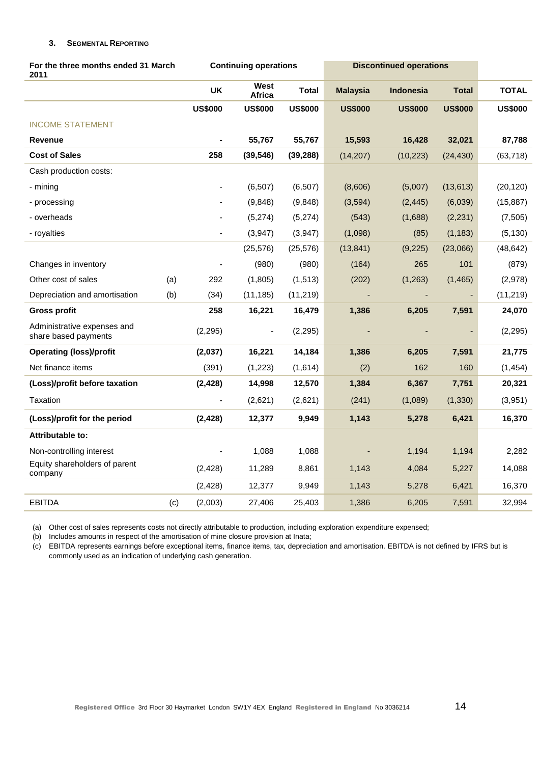### **3. SEGMENTAL REPORTING**

| For the three months ended 31 March<br>2011         |     |                | <b>Continuing operations</b> |                | <b>Discontinued operations</b> |                  |                |                |
|-----------------------------------------------------|-----|----------------|------------------------------|----------------|--------------------------------|------------------|----------------|----------------|
|                                                     |     | <b>UK</b>      | West<br><b>Africa</b>        | <b>Total</b>   | <b>Malaysia</b>                | <b>Indonesia</b> | <b>Total</b>   | <b>TOTAL</b>   |
|                                                     |     | <b>US\$000</b> | <b>US\$000</b>               | <b>US\$000</b> | <b>US\$000</b>                 | <b>US\$000</b>   | <b>US\$000</b> | <b>US\$000</b> |
| <b>INCOME STATEMENT</b>                             |     |                |                              |                |                                |                  |                |                |
| <b>Revenue</b>                                      |     |                | 55,767                       | 55,767         | 15,593                         | 16,428           | 32,021         | 87,788         |
| <b>Cost of Sales</b>                                |     | 258            | (39, 546)                    | (39, 288)      | (14, 207)                      | (10, 223)        | (24, 430)      | (63, 718)      |
| Cash production costs:                              |     |                |                              |                |                                |                  |                |                |
| - mining                                            |     |                | (6, 507)                     | (6, 507)       | (8,606)                        | (5,007)          | (13, 613)      | (20, 120)      |
| - processing                                        |     |                | (9,848)                      | (9,848)        | (3, 594)                       | (2, 445)         | (6,039)        | (15, 887)      |
| - overheads                                         |     |                | (5,274)                      | (5,274)        | (543)                          | (1,688)          | (2, 231)       | (7, 505)       |
| - royalties                                         |     |                | (3,947)                      | (3,947)        | (1,098)                        | (85)             | (1, 183)       | (5, 130)       |
|                                                     |     |                | (25, 576)                    | (25, 576)      | (13, 841)                      | (9,225)          | (23,066)       | (48, 642)      |
| Changes in inventory                                |     |                | (980)                        | (980)          | (164)                          | 265              | 101            | (879)          |
| Other cost of sales                                 | (a) | 292            | (1,805)                      | (1, 513)       | (202)                          | (1,263)          | (1, 465)       | (2,978)        |
| Depreciation and amortisation                       | (b) | (34)           | (11, 185)                    | (11, 219)      |                                |                  |                | (11, 219)      |
| Gross profit                                        |     | 258            | 16,221                       | 16,479         | 1,386                          | 6,205            | 7,591          | 24,070         |
| Administrative expenses and<br>share based payments |     | (2, 295)       | $\overline{\phantom{a}}$     | (2, 295)       |                                |                  |                | (2, 295)       |
| <b>Operating (loss)/profit</b>                      |     | (2,037)        | 16,221                       | 14,184         | 1,386                          | 6,205            | 7,591          | 21,775         |
| Net finance items                                   |     | (391)          | (1, 223)                     | (1,614)        | (2)                            | 162              | 160            | (1, 454)       |
| (Loss)/profit before taxation                       |     | (2, 428)       | 14,998                       | 12,570         | 1,384                          | 6,367            | 7,751          | 20,321         |
| Taxation                                            |     | $\blacksquare$ | (2,621)                      | (2,621)        | (241)                          | (1,089)          | (1, 330)       | (3,951)        |
| (Loss)/profit for the period                        |     | (2, 428)       | 12,377                       | 9,949          | 1,143                          | 5,278            | 6,421          | 16,370         |
| Attributable to:                                    |     |                |                              |                |                                |                  |                |                |
| Non-controlling interest                            |     |                | 1,088                        | 1,088          |                                | 1,194            | 1,194          | 2,282          |
| Equity shareholders of parent<br>company            |     | (2, 428)       | 11,289                       | 8,861          | 1,143                          | 4,084            | 5,227          | 14,088         |
|                                                     |     | (2, 428)       | 12,377                       | 9,949          | 1,143                          | 5,278            | 6,421          | 16,370         |
| <b>EBITDA</b>                                       | (c) | (2,003)        | 27,406                       | 25,403         | 1,386                          | 6,205            | 7,591          | 32,994         |

(a) Other cost of sales represents costs not directly attributable to production, including exploration expenditure expensed;

(b) Includes amounts in respect of the amortisation of mine closure provision at Inata;

(c) EBITDA represents earnings before exceptional items, finance items, tax, depreciation and amortisation. EBITDA is not defined by IFRS but is commonly used as an indication of underlying cash generation.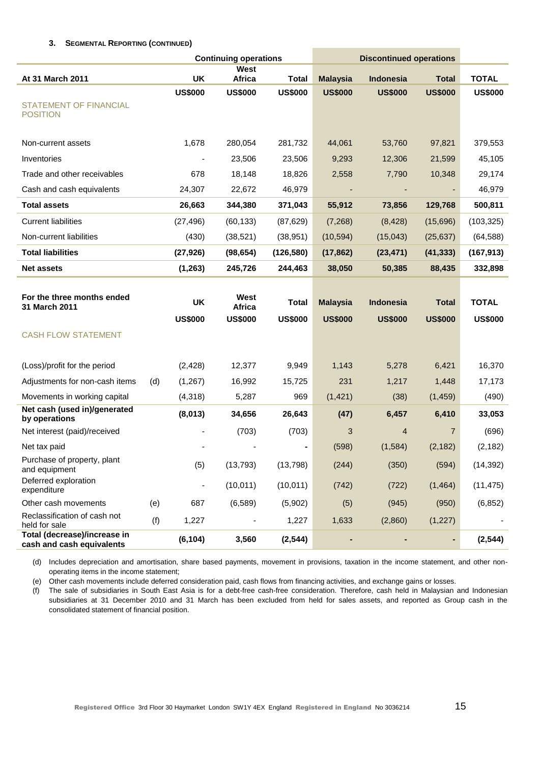### **3. SEGMENTAL REPORTING (CONTINUED)**

|                                                           |     |                      | <b>Continuing operations</b>     |                         |                                   | <b>Discontinued operations</b>     |                                |                                |
|-----------------------------------------------------------|-----|----------------------|----------------------------------|-------------------------|-----------------------------------|------------------------------------|--------------------------------|--------------------------------|
| At 31 March 2011                                          |     | <b>UK</b>            | West<br>Africa                   | <b>Total</b>            | <b>Malaysia</b>                   | <b>Indonesia</b>                   | <b>Total</b>                   | <b>TOTAL</b>                   |
|                                                           |     | <b>US\$000</b>       | <b>US\$000</b>                   | <b>US\$000</b>          | <b>US\$000</b>                    | <b>US\$000</b>                     | <b>US\$000</b>                 | <b>US\$000</b>                 |
| <b>STATEMENT OF FINANCIAL</b><br><b>POSITION</b>          |     |                      |                                  |                         |                                   |                                    |                                |                                |
| Non-current assets                                        |     | 1,678                | 280,054                          | 281,732                 | 44,061                            | 53,760                             | 97,821                         | 379,553                        |
| Inventories                                               |     |                      | 23,506                           | 23,506                  | 9,293                             | 12,306                             | 21,599                         | 45,105                         |
| Trade and other receivables                               |     | 678                  | 18,148                           | 18,826                  | 2,558                             | 7,790                              | 10,348                         | 29,174                         |
| Cash and cash equivalents                                 |     | 24,307               | 22,672                           | 46,979                  |                                   |                                    |                                | 46,979                         |
| <b>Total assets</b>                                       |     | 26,663               | 344,380                          | 371,043                 | 55,912                            | 73,856                             | 129,768                        | 500,811                        |
| <b>Current liabilities</b>                                |     | (27, 496)            | (60, 133)                        | (87, 629)               | (7, 268)                          | (8, 428)                           | (15,696)                       | (103, 325)                     |
| Non-current liabilities                                   |     | (430)                | (38, 521)                        | (38, 951)               | (10, 594)                         | (15, 043)                          | (25, 637)                      | (64, 588)                      |
| <b>Total liabilities</b>                                  |     | (27, 926)            | (98, 654)                        | (126, 580)              | (17, 862)                         | (23, 471)                          | (41, 333)                      | (167, 913)                     |
| <b>Net assets</b>                                         |     | (1, 263)             | 245,726                          | 244,463                 | 38,050                            | 50,385                             | 88,435                         | 332,898                        |
| For the three months ended<br>31 March 2011               |     | UK<br><b>US\$000</b> | West<br>Africa<br><b>US\$000</b> | Total<br><b>US\$000</b> | <b>Malaysia</b><br><b>US\$000</b> | <b>Indonesia</b><br><b>US\$000</b> | <b>Total</b><br><b>US\$000</b> | <b>TOTAL</b><br><b>US\$000</b> |
| <b>CASH FLOW STATEMENT</b>                                |     |                      |                                  |                         |                                   |                                    |                                |                                |
| (Loss)/profit for the period                              |     | (2, 428)             | 12,377                           | 9,949                   | 1,143                             | 5,278                              | 6,421                          | 16,370                         |
| Adjustments for non-cash items                            | (d) | (1, 267)             | 16,992                           | 15,725                  | 231                               | 1,217                              | 1,448                          | 17,173                         |
| Movements in working capital                              |     | (4,318)              | 5,287                            | 969                     | (1, 421)                          | (38)                               | (1, 459)                       | (490)                          |
| Net cash (used in)/generated<br>by operations             |     | (8,013)              | 34,656                           | 26,643                  | (47)                              | 6,457                              | 6,410                          | 33,053                         |
| Net interest (paid)/received                              |     |                      | (703)                            | (703)                   | 3                                 | $\overline{4}$                     | $\overline{7}$                 | (696)                          |
| Net tax paid                                              |     |                      |                                  |                         | (598)                             | (1, 584)                           | (2, 182)                       | (2, 182)                       |
| Purchase of property, plant<br>and equipment              |     | (5)                  | (13, 793)                        | (13, 798)               | (244)                             | (350)                              | (594)                          | (14, 392)                      |
| Deferred exploration<br>expenditure                       |     |                      | (10, 011)                        | (10, 011)               | (742)                             | (722)                              | (1, 464)                       | (11, 475)                      |
| Other cash movements                                      | (e) | 687                  | (6, 589)                         | (5,902)                 | (5)                               | (945)                              | (950)                          | (6, 852)                       |
| Reclassification of cash not<br>held for sale             | (f) | 1,227                |                                  | 1,227                   | 1,633                             | (2,860)                            | (1, 227)                       |                                |
| Total (decrease)/increase in<br>cash and cash equivalents |     | (6, 104)             | 3,560                            | (2, 544)                |                                   |                                    | ۰                              | (2, 544)                       |

(d) Includes depreciation and amortisation, share based payments, movement in provisions, taxation in the income statement, and other nonoperating items in the income statement;

(e) Other cash movements include deferred consideration paid, cash flows from financing activities, and exchange gains or losses.

(f) The sale of subsidiaries in South East Asia is for a debt-free cash-free consideration. Therefore, cash held in Malaysian and Indonesian subsidiaries at 31 December 2010 and 31 March has been excluded from held for sales assets, and reported as Group cash in the consolidated statement of financial position.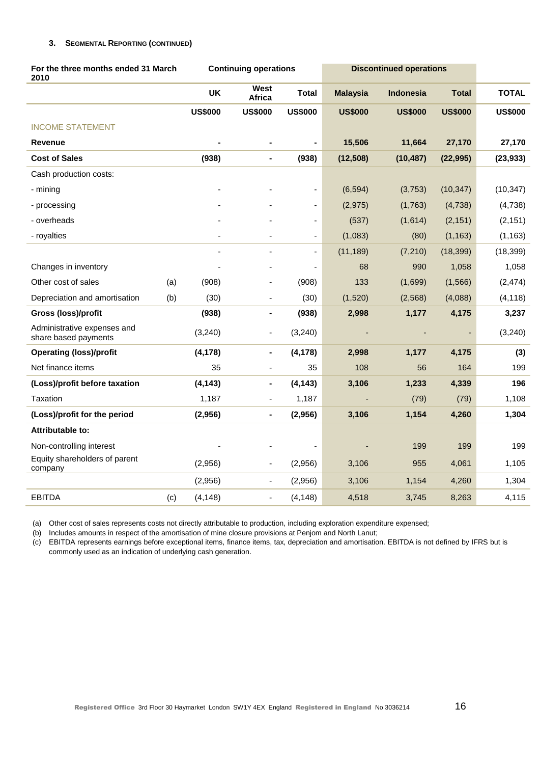### **3. SEGMENTAL REPORTING (CONTINUED)**

| For the three months ended 31 March<br>2010         |     |                | <b>Continuing operations</b> |                              | <b>Discontinued operations</b> |                  |                |                |
|-----------------------------------------------------|-----|----------------|------------------------------|------------------------------|--------------------------------|------------------|----------------|----------------|
|                                                     |     | <b>UK</b>      | West<br>Africa               | <b>Total</b>                 | <b>Malaysia</b>                | <b>Indonesia</b> | <b>Total</b>   | <b>TOTAL</b>   |
|                                                     |     | <b>US\$000</b> | <b>US\$000</b>               | <b>US\$000</b>               | <b>US\$000</b>                 | <b>US\$000</b>   | <b>US\$000</b> | <b>US\$000</b> |
| <b>INCOME STATEMENT</b>                             |     |                |                              |                              |                                |                  |                |                |
| Revenue                                             |     |                |                              | -                            | 15,506                         | 11,664           | 27,170         | 27,170         |
| <b>Cost of Sales</b>                                |     | (938)          | $\blacksquare$               | (938)                        | (12, 508)                      | (10, 487)        | (22, 995)      | (23, 933)      |
| Cash production costs:                              |     |                |                              |                              |                                |                  |                |                |
| - mining                                            |     |                |                              | $\overline{\phantom{0}}$     | (6, 594)                       | (3,753)          | (10, 347)      | (10, 347)      |
| - processing                                        |     |                |                              | $\qquad \qquad \blacksquare$ | (2, 975)                       | (1,763)          | (4,738)        | (4,738)        |
| - overheads                                         |     |                |                              | $\blacksquare$               | (537)                          | (1,614)          | (2, 151)       | (2, 151)       |
| - royalties                                         |     | $\blacksquare$ |                              | $\overline{\phantom{a}}$     | (1,083)                        | (80)             | (1, 163)       | (1, 163)       |
|                                                     |     |                |                              | ä,                           | (11, 189)                      | (7, 210)         | (18, 399)      | (18, 399)      |
| Changes in inventory                                |     |                |                              | ÷,                           | 68                             | 990              | 1,058          | 1,058          |
| Other cost of sales                                 | (a) | (908)          |                              | (908)                        | 133                            | (1,699)          | (1, 566)       | (2, 474)       |
| Depreciation and amortisation                       | (b) | (30)           | $\blacksquare$               | (30)                         | (1,520)                        | (2,568)          | (4,088)        | (4, 118)       |
| Gross (loss)/profit                                 |     | (938)          | $\blacksquare$               | (938)                        | 2,998                          | 1,177            | 4,175          | 3,237          |
| Administrative expenses and<br>share based payments |     | (3, 240)       | $\blacksquare$               | (3, 240)                     |                                |                  |                | (3, 240)       |
| <b>Operating (loss)/profit</b>                      |     | (4, 178)       | ٠                            | (4, 178)                     | 2,998                          | 1,177            | 4,175          | (3)            |
| Net finance items                                   |     | 35             |                              | 35                           | 108                            | 56               | 164            | 199            |
| (Loss)/profit before taxation                       |     | (4, 143)       | $\blacksquare$               | (4, 143)                     | 3,106                          | 1,233            | 4,339          | 196            |
| Taxation                                            |     | 1,187          | $\blacksquare$               | 1,187                        |                                | (79)             | (79)           | 1,108          |
| (Loss)/profit for the period                        |     | (2,956)        | $\blacksquare$               | (2,956)                      | 3,106                          | 1,154            | 4,260          | 1,304          |
| <b>Attributable to:</b>                             |     |                |                              |                              |                                |                  |                |                |
| Non-controlling interest                            |     |                |                              |                              |                                | 199              | 199            | 199            |
| Equity shareholders of parent<br>company            |     | (2,956)        | $\blacksquare$               | (2,956)                      | 3,106                          | 955              | 4,061          | 1,105          |
|                                                     |     | (2,956)        | $\blacksquare$               | (2,956)                      | 3,106                          | 1,154            | 4,260          | 1,304          |
| <b>EBITDA</b>                                       | (c) | (4, 148)       | $\overline{a}$               | (4, 148)                     | 4,518                          | 3,745            | 8,263          | 4,115          |

(a) Other cost of sales represents costs not directly attributable to production, including exploration expenditure expensed;

(b) Includes amounts in respect of the amortisation of mine closure provisions at Penjom and North Lanut;

(c) EBITDA represents earnings before exceptional items, finance items, tax, depreciation and amortisation. EBITDA is not defined by IFRS but is commonly used as an indication of underlying cash generation.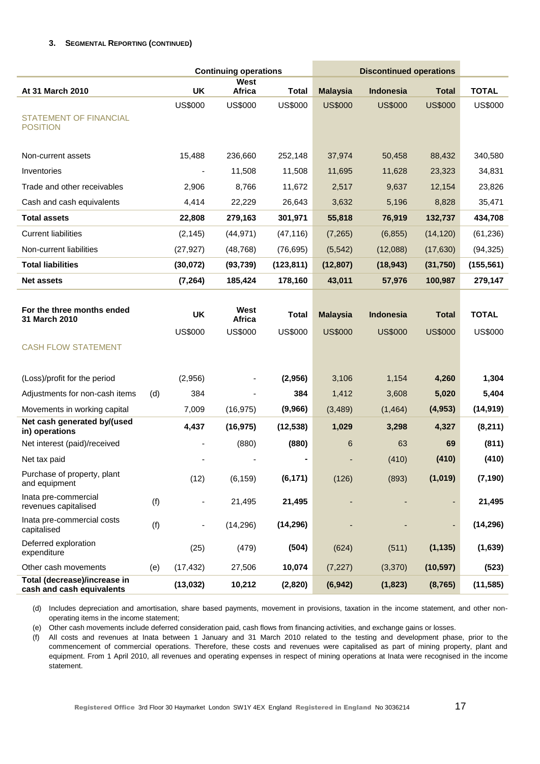### **3. SEGMENTAL REPORTING (CONTINUED)**

|                                                           | <b>Continuing operations</b> |                          |                | <b>Discontinued operations</b> |                 |                  |                          |                |
|-----------------------------------------------------------|------------------------------|--------------------------|----------------|--------------------------------|-----------------|------------------|--------------------------|----------------|
| At 31 March 2010                                          |                              | <b>UK</b>                | West<br>Africa | <b>Total</b>                   | <b>Malaysia</b> | <b>Indonesia</b> | <b>Total</b>             | <b>TOTAL</b>   |
|                                                           |                              | <b>US\$000</b>           | <b>US\$000</b> | <b>US\$000</b>                 | <b>US\$000</b>  | <b>US\$000</b>   | <b>US\$000</b>           | <b>US\$000</b> |
| <b>STATEMENT OF FINANCIAL</b><br><b>POSITION</b>          |                              |                          |                |                                |                 |                  |                          |                |
| Non-current assets                                        |                              | 15,488                   | 236,660        | 252,148                        | 37,974          | 50,458           | 88,432                   | 340,580        |
| Inventories                                               |                              |                          | 11,508         | 11,508                         | 11,695          | 11,628           | 23,323                   | 34,831         |
| Trade and other receivables                               |                              | 2,906                    | 8,766          | 11,672                         | 2,517           | 9,637            | 12,154                   | 23,826         |
| Cash and cash equivalents                                 |                              | 4,414                    | 22,229         | 26,643                         | 3,632           | 5,196            | 8,828                    | 35,471         |
| <b>Total assets</b>                                       |                              | 22,808                   | 279,163        | 301,971                        | 55,818          | 76,919           | 132,737                  | 434,708        |
| <b>Current liabilities</b>                                |                              | (2, 145)                 | (44, 971)      | (47, 116)                      | (7, 265)        | (6, 855)         | (14, 120)                | (61, 236)      |
| Non-current liabilities                                   |                              | (27, 927)                | (48, 768)      | (76, 695)                      | (5, 542)        | (12,088)         | (17, 630)                | (94, 325)      |
| <b>Total liabilities</b>                                  |                              | (30, 072)                | (93, 739)      | (123, 811)                     | (12, 807)       | (18, 943)        | (31,750)                 | (155, 561)     |
| <b>Net assets</b>                                         |                              | (7, 264)                 | 185,424        | 178,160                        | 43,011          | 57,976           | 100,987                  | 279,147        |
|                                                           |                              |                          |                |                                |                 |                  |                          |                |
| For the three months ended<br>31 March 2010               |                              | <b>UK</b>                | West<br>Africa | <b>Total</b>                   | <b>Malaysia</b> | <b>Indonesia</b> | <b>Total</b>             | <b>TOTAL</b>   |
|                                                           |                              | <b>US\$000</b>           | <b>US\$000</b> | <b>US\$000</b>                 | <b>US\$000</b>  | <b>US\$000</b>   | <b>US\$000</b>           | <b>US\$000</b> |
| <b>CASH FLOW STATEMENT</b>                                |                              |                          |                |                                |                 |                  |                          |                |
|                                                           |                              |                          |                |                                |                 |                  |                          |                |
| (Loss)/profit for the period                              |                              | (2,956)                  |                | (2,956)                        | 3,106           | 1,154            | 4,260                    | 1,304          |
| Adjustments for non-cash items                            | (d)                          | 384                      |                | 384                            | 1,412           | 3,608            | 5,020                    | 5,404          |
| Movements in working capital                              |                              | 7,009                    | (16, 975)      | (9,966)                        | (3,489)         | (1, 464)         | (4, 953)                 | (14, 919)      |
| Net cash generated by/(used<br>in) operations             |                              | 4,437                    | (16, 975)      | (12, 538)                      | 1,029           | 3,298            | 4,327                    | (8, 211)       |
| Net interest (paid)/received                              |                              |                          | (880)          | (880)                          | 6               | 63               | 69                       | (811)          |
| Net tax paid                                              |                              |                          |                |                                |                 | (410)            | (410)                    | (410)          |
| Purchase of property, plant<br>and equipment              |                              | (12)                     | (6, 159)       | (6, 171)                       | (126)           | (893)            | (1,019)                  | (7, 190)       |
| Inata pre-commercial<br>revenues capitalised              | (f)                          | $\overline{\phantom{a}}$ | 21,495         | 21,495                         |                 |                  | ٠                        | 21,495         |
| Inata pre-commercial costs<br>capitalised                 | (f)                          | $\overline{\phantom{a}}$ | (14, 296)      | (14, 296)                      |                 |                  | $\overline{\phantom{a}}$ | (14, 296)      |
| Deferred exploration<br>expenditure                       |                              | (25)                     | (479)          | (504)                          | (624)           | (511)            | (1, 135)                 | (1,639)        |
| Other cash movements                                      | (e)                          | (17, 432)                | 27,506         | 10,074                         | (7, 227)        | (3,370)          | (10, 597)                | (523)          |
| Total (decrease)/increase in<br>cash and cash equivalents |                              | (13, 032)                | 10,212         | (2,820)                        | (6, 942)        | (1, 823)         | (8, 765)                 | (11, 585)      |

(d) Includes depreciation and amortisation, share based payments, movement in provisions, taxation in the income statement, and other nonoperating items in the income statement;

(e) Other cash movements include deferred consideration paid, cash flows from financing activities, and exchange gains or losses.

(f) All costs and revenues at Inata between 1 January and 31 March 2010 related to the testing and development phase, prior to the commencement of commercial operations. Therefore, these costs and revenues were capitalised as part of mining property, plant and equipment. From 1 April 2010, all revenues and operating expenses in respect of mining operations at Inata were recognised in the income statement.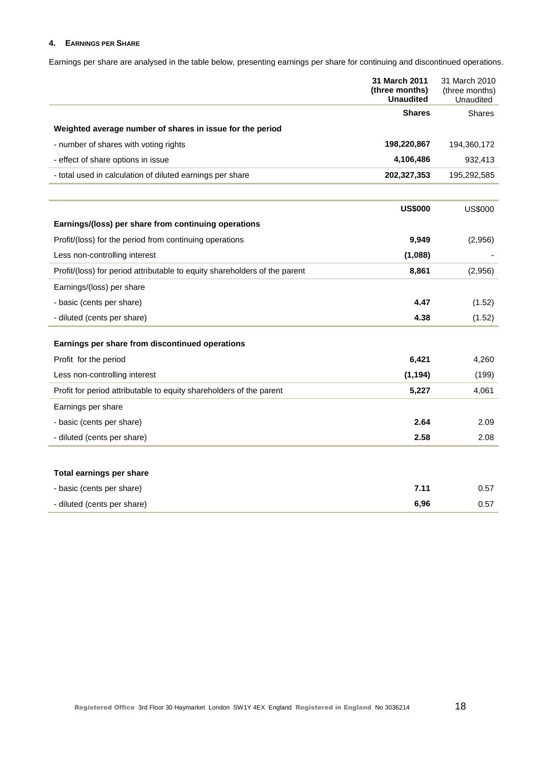### **4. EARNINGS PER SHARE**

Earnings per share are analysed in the table below, presenting earnings per share for continuing and discontinued operations.

|                                                                            | 31 March 2011<br>(three months)<br><b>Unaudited</b> | 31 March 2010<br>(three months)<br>Unaudited |
|----------------------------------------------------------------------------|-----------------------------------------------------|----------------------------------------------|
|                                                                            | <b>Shares</b>                                       | <b>Shares</b>                                |
| Weighted average number of shares in issue for the period                  |                                                     |                                              |
| - number of shares with voting rights                                      | 198,220,867                                         | 194,360,172                                  |
| - effect of share options in issue                                         | 4,106,486                                           | 932,413                                      |
| - total used in calculation of diluted earnings per share                  | 202,327,353                                         | 195,292,585                                  |
|                                                                            | <b>US\$000</b>                                      | <b>US\$000</b>                               |
| Earnings/(loss) per share from continuing operations                       |                                                     |                                              |
| Profit/(loss) for the period from continuing operations                    | 9,949                                               | (2,956)                                      |
| Less non-controlling interest                                              | (1,088)                                             |                                              |
| Profit/(loss) for period attributable to equity shareholders of the parent | 8,861                                               | (2,956)                                      |
| Earnings/(loss) per share                                                  |                                                     |                                              |
| - basic (cents per share)                                                  | 4.47                                                | (1.52)                                       |
| - diluted (cents per share)                                                | 4.38                                                | (1.52)                                       |
| Earnings per share from discontinued operations                            |                                                     |                                              |
| Profit for the period                                                      | 6,421                                               | 4,260                                        |
| Less non-controlling interest                                              | (1, 194)                                            | (199)                                        |
| Profit for period attributable to equity shareholders of the parent        | 5,227                                               | 4,061                                        |
| Earnings per share                                                         |                                                     |                                              |
| - basic (cents per share)                                                  | 2.64                                                | 2.09                                         |
| - diluted (cents per share)                                                | 2.58                                                | 2.08                                         |
|                                                                            |                                                     |                                              |
| Total earnings per share                                                   |                                                     |                                              |
| - basic (cents per share)                                                  | 7.11                                                | 0.57                                         |
| - diluted (cents per share)                                                | 6,96                                                | 0.57                                         |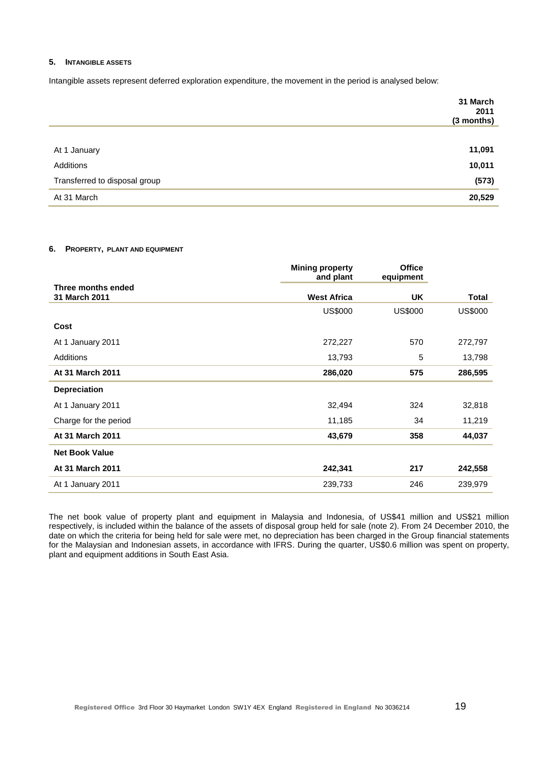#### **5. INTANGIBLE ASSETS**

Intangible assets represent deferred exploration expenditure, the movement in the period is analysed below:

|                               | 31 March<br>2011<br>(3 months) |
|-------------------------------|--------------------------------|
|                               |                                |
| At 1 January                  | 11,091                         |
| Additions                     | 10,011                         |
| Transferred to disposal group | (573)                          |
| At 31 March                   | 20,529                         |

#### **6. PROPERTY, PLANT AND EQUIPMENT**

|                                     | <b>Mining property</b><br>and plant | <b>Office</b><br>equipment |                |
|-------------------------------------|-------------------------------------|----------------------------|----------------|
| Three months ended<br>31 March 2011 | <b>West Africa</b>                  | UK.                        | <b>Total</b>   |
|                                     | <b>US\$000</b>                      | <b>US\$000</b>             | <b>US\$000</b> |
| Cost                                |                                     |                            |                |
| At 1 January 2011                   | 272,227                             | 570                        | 272,797        |
| Additions                           | 13,793                              | 5                          | 13,798         |
| At 31 March 2011                    | 286,020                             | 575                        | 286,595        |
| <b>Depreciation</b>                 |                                     |                            |                |
| At 1 January 2011                   | 32,494                              | 324                        | 32,818         |
| Charge for the period               | 11,185                              | 34                         | 11,219         |
| At 31 March 2011                    | 43,679                              | 358                        | 44,037         |
| <b>Net Book Value</b>               |                                     |                            |                |
| At 31 March 2011                    | 242,341                             | 217                        | 242,558        |
| At 1 January 2011                   | 239,733                             | 246                        | 239,979        |

The net book value of property plant and equipment in Malaysia and Indonesia, of US\$41 million and US\$21 million respectively, is included within the balance of the assets of disposal group held for sale (note 2). From 24 December 2010, the date on which the criteria for being held for sale were met, no depreciation has been charged in the Group financial statements for the Malaysian and Indonesian assets, in accordance with IFRS. During the quarter, US\$0.6 million was spent on property, plant and equipment additions in South East Asia.